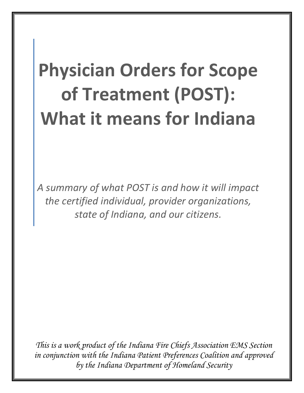# **Physician Orders for Scope of Treatment (POST): What it means for Indiana**

*A summary of what POST is and how it will impact the certified individual, provider organizations, state of Indiana, and our citizens.*

*This is a work product of the Indiana Fire Chiefs Association EMS Section in conjunction with the Indiana Patient Preferences Coalition and approved by the Indiana Department of Homeland Security*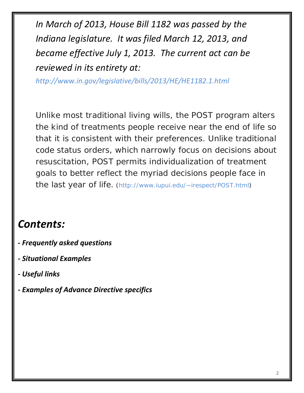*In March of 2013, House Bill 1182 was passed by the Indiana legislature. It was filed March 12, 2013, and became effective July 1, 2013. The current act can be reviewed in its entirety at:* 

*http://www.in.gov/legislative/bills/2013/HE/HE1182.1.html*

Unlike most traditional living wills, the POST program alters the kind of treatments people receive near the end of life so that it is consistent with their preferences. Unlike traditional code status orders, which narrowly focus on decisions about resuscitation, POST permits individualization of treatment goals to better reflect the myriad decisions people face in the last year of life. (http://www.iupui.edu/~irespect/POST.html)

# *Contents:*

- *- Frequently asked questions*
- *- Situational Examples*
- *- Useful links*
- *- Examples of Advance Directive specifics*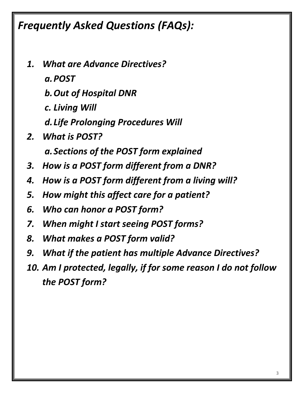*Frequently Asked Questions (FAQs):*

- *1. What are Advance Directives?*
	- *a.POST*
	- *b.Out of Hospital DNR*
	- *c. Living Will*
	- *d.Life Prolonging Procedures Will*
- *2. What is POST?*
	- *a.Sections of the POST form explained*
- *3. How is a POST form different from a DNR?*
- *4. How is a POST form different from a living will?*
- *5. How might this affect care for a patient?*
- *6. Who can honor a POST form?*
- *7. When might I start seeing POST forms?*
- *8. What makes a POST form valid?*
- *9. What if the patient has multiple Advance Directives?*
- *10. Am I protected, legally, if for some reason I do not follow the POST form?*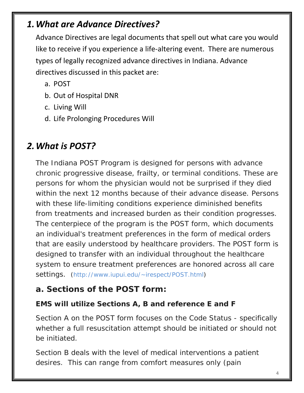### *1.What are Advance Directives?*

Advance Directives are legal documents that spell out what care you would like to receive if you experience a life-altering event. There are numerous types of legally recognized advance directives in Indiana. Advance directives discussed in this packet are:

- a. POST
- b. Out of Hospital DNR
- c. Living Will
- d. Life Prolonging Procedures Will

# *2.What is POST?*

The Indiana POST Program is designed for persons with advance chronic progressive disease, frailty, or terminal conditions. These are persons for whom the physician would not be surprised if they died within the next 12 months because of their advance disease. Persons with these life-limiting conditions experience diminished benefits from treatments and increased burden as their condition progresses. The centerpiece of the program is the POST form, which documents an individual's treatment preferences in the form of medical orders that are easily understood by healthcare providers. The POST form is designed to transfer with an individual throughout the healthcare system to ensure treatment preferences are honored across all care settings. (http://www.iupui.edu/~irespect/POST.html)

#### **a. Sections of the POST form:**

#### **EMS will utilize Sections A, B and reference E and F**

Section A on the POST form focuses on the Code Status - specifically whether a full resuscitation attempt should be initiated or should not be initiated.

Section B deals with the level of medical interventions a patient desires. This can range from comfort measures only (pain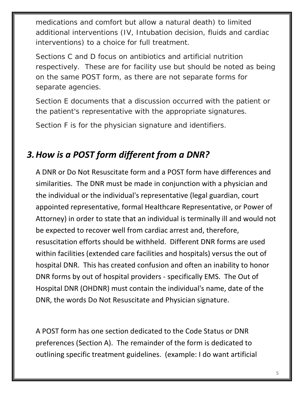medications and comfort but allow a natural death) to limited additional interventions (IV, Intubation decision, fluids and cardiac interventions) to a choice for full treatment.

Sections C and D focus on antibiotics and artificial nutrition respectively. These are for facility use but should be noted as being on the same POST form, as there are not separate forms for separate agencies.

Section E documents that a discussion occurred with the patient or the patient's representative with the appropriate signatures.

Section F is for the physician signature and identifiers.

# *3.How is a POST form different from a DNR?*

A DNR or Do Not Resuscitate form and a POST form have differences and similarities. The DNR must be made in conjunction with a physician and the individual or the individual's representative (legal guardian, court appointed representative, formal Healthcare Representative, or Power of Attorney) in order to state that an individual is terminally ill and would not be expected to recover well from cardiac arrest and, therefore, resuscitation efforts should be withheld. Different DNR forms are used within facilities (extended care facilities and hospitals) versus the out of hospital DNR. This has created confusion and often an inability to honor DNR forms by out of hospital providers - specifically EMS. The Out of Hospital DNR (OHDNR) must contain the individual's name, date of the DNR, the words Do Not Resuscitate and Physician signature.

A POST form has one section dedicated to the Code Status or DNR preferences (Section A). The remainder of the form is dedicated to outlining specific treatment guidelines. (example: I do want artificial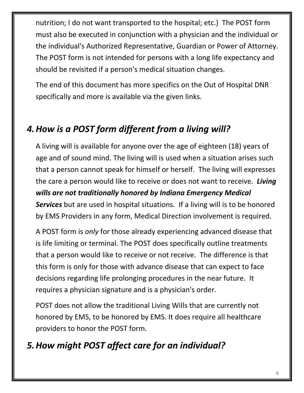nutrition; I do not want transported to the hospital; etc.) The POST form must also be executed in conjunction with a physician and the individual or the individual's Authorized Representative, Guardian or Power of Attorney. The POST form is not intended for persons with a long life expectancy and should be revisited if a person's medical situation changes.

The end of this document has more specifics on the Out of Hospital DNR specifically and more is available via the given links.

# *4.How is a POST form different from a living will?*

A living will is available for anyone over the age of eighteen (18) years of age and of sound mind. The living will is used when a situation arises such that a person cannot speak for himself or herself. The living will expresses the care a person would like to receive or does not want to receive. *Living wills are not traditionally honored by Indiana Emergency Medical Services* but are used in hospital situations. If a living will is to be honored by EMS Providers in any form, Medical Direction involvement is required.

A POST form is *only* for those already experiencing advanced disease that is life limiting or terminal. The POST does specifically outline treatments that a person would like to receive or not receive. The difference is that this form is only for those with advance disease that can expect to face decisions regarding life prolonging procedures in the near future. It requires a physician signature and is a physician's order.

POST does not allow the traditional Living Wills that are currently not honored by EMS, to be honored by EMS. It does require all healthcare providers to honor the POST form.

# *5.How might POST affect care for an individual?*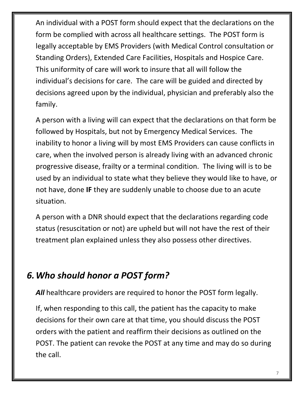An individual with a POST form should expect that the declarations on the form be complied with across all healthcare settings. The POST form is legally acceptable by EMS Providers (with Medical Control consultation or Standing Orders), Extended Care Facilities, Hospitals and Hospice Care. This uniformity of care will work to insure that all will follow the individual's decisions for care. The care will be guided and directed by decisions agreed upon by the individual, physician and preferably also the family.

A person with a living will can expect that the declarations on that form be followed by Hospitals, but not by Emergency Medical Services. The inability to honor a living will by most EMS Providers can cause conflicts in care, when the involved person is already living with an advanced chronic progressive disease, frailty or a terminal condition. The living will is to be used by an individual to state what they believe they would like to have, or not have, done **IF** they are suddenly unable to choose due to an acute situation.

A person with a DNR should expect that the declarations regarding code status (resuscitation or not) are upheld but will not have the rest of their treatment plan explained unless they also possess other directives.

## *6.Who should honor a POST form?*

All healthcare providers are required to honor the POST form legally.

If, when responding to this call, the patient has the capacity to make decisions for their own care at that time, you should discuss the POST orders with the patient and reaffirm their decisions as outlined on the POST. The patient can revoke the POST at any time and may do so during the call.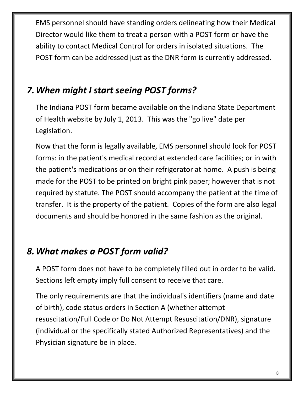EMS personnel should have standing orders delineating how their Medical Director would like them to treat a person with a POST form or have the ability to contact Medical Control for orders in isolated situations. The POST form can be addressed just as the DNR form is currently addressed.

## *7.When might I start seeing POST forms?*

The Indiana POST form became available on the Indiana State Department of Health website by July 1, 2013. This was the "go live" date per Legislation.

Now that the form is legally available, EMS personnel should look for POST forms: in the patient's medical record at extended care facilities; or in with the patient's medications or on their refrigerator at home. A push is being made for the POST to be printed on bright pink paper; however that is not required by statute. The POST should accompany the patient at the time of transfer. It is the property of the patient. Copies of the form are also legal documents and should be honored in the same fashion as the original.

# *8.What makes a POST form valid?*

A POST form does not have to be completely filled out in order to be valid. Sections left empty imply full consent to receive that care.

The only requirements are that the individual's identifiers (name and date of birth), code status orders in Section A (whether attempt resuscitation/Full Code or Do Not Attempt Resuscitation/DNR), signature (individual or the specifically stated Authorized Representatives) and the Physician signature be in place.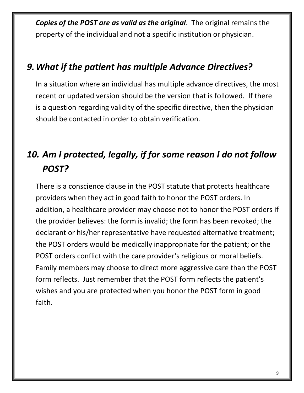*Copies of the POST are as valid as the original*. The original remains the property of the individual and not a specific institution or physician.

### *9.What if the patient has multiple Advance Directives?*

In a situation where an individual has multiple advance directives, the most recent or updated version should be the version that is followed. If there is a question regarding validity of the specific directive, then the physician should be contacted in order to obtain verification.

# *10. Am I protected, legally, if for some reason I do not follow POST?*

There is a conscience clause in the POST statute that protects healthcare providers when they act in good faith to honor the POST orders. In addition, a healthcare provider may choose not to honor the POST orders if the provider believes: the form is invalid; the form has been revoked; the declarant or his/her representative have requested alternative treatment; the POST orders would be medically inappropriate for the patient; or the POST orders conflict with the care provider's religious or moral beliefs. Family members may choose to direct more aggressive care than the POST form reflects. Just remember that the POST form reflects the patient's wishes and you are protected when you honor the POST form in good faith.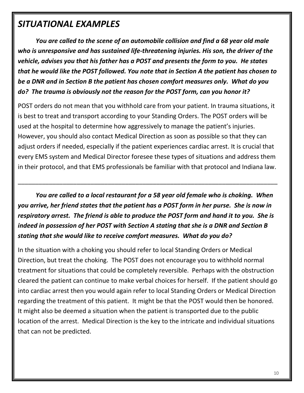### *SITUATIONAL EXAMPLES*

*You are called to the scene of an automobile collision and find a 68 year old male who is unresponsive and has sustained life-threatening injuries. His son, the driver of the vehicle, advises you that his father has a POST and presents the form to you. He states that he would like the POST followed. You note that in Section A the patient has chosen to be a DNR and in Section B the patient has chosen comfort measures only. What do you do? The trauma is obviously not the reason for the POST form, can you honor it?*

POST orders do not mean that you withhold care from your patient. In trauma situations, it is best to treat and transport according to your Standing Orders. The POST orders will be used at the hospital to determine how aggressively to manage the patient's injuries. However, you should also contact Medical Direction as soon as possible so that they can adjust orders if needed, especially if the patient experiences cardiac arrest. It is crucial that every EMS system and Medical Director foresee these types of situations and address them in their protocol, and that EMS professionals be familiar with that protocol and Indiana law.

*You are called to a local restaurant for a 58 year old female who is choking. When you arrive, her friend states that the patient has a POST form in her purse. She is now in respiratory arrest. The friend is able to produce the POST form and hand it to you. She is indeed in possession of her POST with Section A stating that she is a DNR and Section B stating that she would like to receive comfort measures. What do you do?*

\_\_\_\_\_\_\_\_\_\_\_\_\_\_\_\_\_\_\_\_\_\_\_\_\_\_\_\_\_\_\_\_\_\_\_\_\_\_\_\_\_\_\_\_\_\_\_\_\_\_\_\_\_\_\_\_\_\_\_\_\_\_\_\_\_\_\_\_\_\_\_\_\_\_\_

In the situation with a choking you should refer to local Standing Orders or Medical Direction, but treat the choking. The POST does not encourage you to withhold normal treatment for situations that could be completely reversible. Perhaps with the obstruction cleared the patient can continue to make verbal choices for herself. If the patient should go into cardiac arrest then you would again refer to local Standing Orders or Medical Direction regarding the treatment of this patient. It might be that the POST would then be honored. It might also be deemed a situation when the patient is transported due to the public location of the arrest. Medical Direction is the key to the intricate and individual situations that can not be predicted.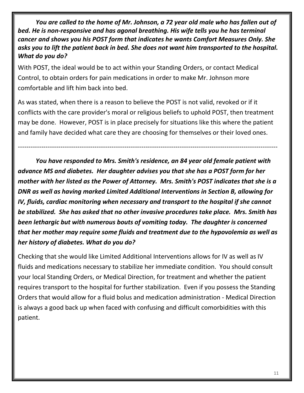*You are called to the home of Mr. Johnson, a 72 year old male who has fallen out of bed. He is non-responsive and has agonal breathing. His wife tells you he has terminal cancer and shows you his POST form that indicates he wants Comfort Measures Only. She asks you to lift the patient back in bed. She does not want him transported to the hospital. What do you do?*

With POST, the ideal would be to act within your Standing Orders, or contact Medical Control, to obtain orders for pain medications in order to make Mr. Johnson more comfortable and lift him back into bed.

As was stated, when there is a reason to believe the POST is not valid, revoked or if it conflicts with the care provider's moral or religious beliefs to uphold POST, then treatment may be done. However, POST is in place precisely for situations like this where the patient and family have decided what care they are choosing for themselves or their loved ones.

--------------------------------------------------------------------------------------------------------------------------

*You have responded to Mrs. Smith's residence, an 84 year old female patient with advance MS and diabetes. Her daughter advises you that she has a POST form for her mother with her listed as the Power of Attorney. Mrs. Smith's POST indicates that she is a DNR as well as having marked Limited Additional Interventions in Section B, allowing for IV, fluids, cardiac monitoring when necessary and transport to the hospital if she cannot be stabilized. She has asked that no other invasive procedures take place. Mrs. Smith has been lethargic but with numerous bouts of vomiting today. The daughter is concerned that her mother may require some fluids and treatment due to the hypovolemia as well as her history of diabetes. What do you do?*

Checking that she would like Limited Additional Interventions allows for IV as well as IV fluids and medications necessary to stabilize her immediate condition. You should consult your local Standing Orders, or Medical Direction, for treatment and whether the patient requires transport to the hospital for further stabilization. Even if you possess the Standing Orders that would allow for a fluid bolus and medication administration - Medical Direction is always a good back up when faced with confusing and difficult comorbidities with this patient.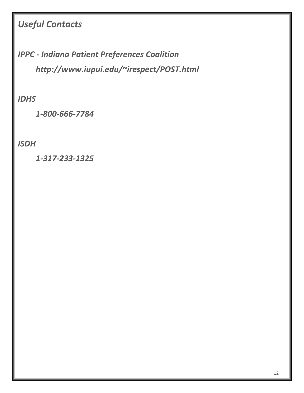# *Useful Contacts*

*IPPC - Indiana Patient Preferences Coalition http://www.iupui.edu/~irespect/POST.html*

*IDHS*

*1-800-666-7784* 

*ISDH*

*1-317-233-1325*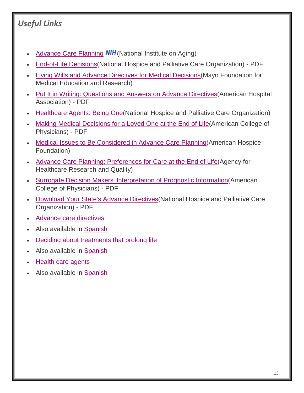### *Useful Links*

- [Advance Care Planning](http://www.nia.nih.gov/health/publication/advance-care-planning)  $\mathsf{NIF}$  (National Institute on Aging)
- End-of-Life Decisions (National Hospice and Palliative Care Organization) PDF
- [Living Wills and Advance Directives for Medical Decisions\(](http://www.mayoclinic.com/health/living-wills/HA00014/METHOD=print)Mayo Foundation for Medical Education and Research)
- [Put It in Writing: Questions and Answers on Advance Directives\(](http://www.aha.org/content/13/putitinwriting.pdf)American Hospital Association) - PDF
- [Healthcare Agents: Being One\(](http://www.caringinfo.org/i4a/pages/index.cfm?pageid=3525)National Hospice and Palliative Care Organization)
- [Making Medical Decisions for a Loved One at the End of Life\(](http://www.acponline.org/patients_families/pdfs/health/med_decisions.pdf)American College of Physicians) - PDF
- [Medical Issues to Be Considered in Advance Care Planning\(](http://www.americanhospice.org/articles-mainmenu-8/advance-care-planning-mainmenu-9/46-medical-issues-to-be-considered-in-advance-care-planning)American Hospice Foundation)
- [Advance Care Planning: Preferences for Care at the End of Life\(](http://www.ahrq.gov/research/findings/factsheets/aging/endliferia/)Agency for Healthcare Research and Quality)
- [Surrogate Decision Makers' Interpretation of Prognostic Information\(](http://annals.org/data/Journals/AIM/22170/0000605-201203060-00002.pdf)American College of Physicians) - PDF
- [Download Your State's Advance Directives\(](http://caringinfo.org/i4a/pages/index.cfm?pageid=3289)National Hospice and Palliative Care Organization) - PDF
- Advance [care directives](http://www.nlm.nih.gov/medlineplus/ency/patientinstructions/000472.htm)
- Also available in [Spanish](http://www.nlm.nih.gov/medlineplus/spanish/ency/patientinstructions/000472.htm)
- [Deciding about treatments that prolong life](http://www.nlm.nih.gov/medlineplus/ency/patientinstructions/000468.htm)
- Also available in [Spanish](http://www.nlm.nih.gov/medlineplus/spanish/ency/patientinstructions/000468.htm)
- [Health care agents](http://www.nlm.nih.gov/medlineplus/ency/patientinstructions/000469.htm)
- Also available in [Spanish](http://www.nlm.nih.gov/medlineplus/spanish/ency/patientinstructions/000469.htm)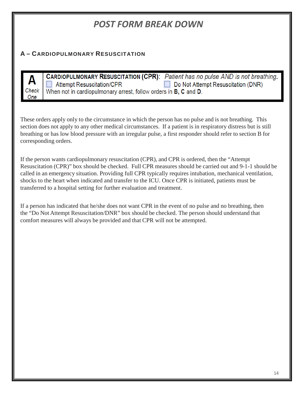### *POST FORM BREAK DOWN*

#### **A – CARDIOPULMONARY RESUSCITATION**

|     | <b>CARDIOPULMONARY RESUSCITATION (CPR):</b> Patient has no pulse AND is not breathing.               |                                           |  |
|-----|------------------------------------------------------------------------------------------------------|-------------------------------------------|--|
| $H$ | │ △ Attempt Resuscitation/CPR                                                                        | $\Box$ Do Not Attempt Resuscitation (DNR) |  |
|     | Check $\mid$ When not in cardiopulmonary arrest, follow orders in <b>B</b> , <b>C</b> and <b>D</b> . |                                           |  |
| One |                                                                                                      |                                           |  |

These orders apply only to the circumstance in which the person has no pulse and is not breathing. This section does not apply to any other medical circumstances. If a patient is in respiratory distress but is still breathing or has low blood pressure with an irregular pulse, a first responder should refer to section B for corresponding orders.

If the person wants cardiopulmonary resuscitation (CPR), and CPR is ordered, then the "Attempt Resuscitation (CPR)" box should be checked. Full CPR measures should be carried out and 9-1-1 should be called in an emergency situation. Providing full CPR typically requires intubation, mechanical ventilation, shocks to the heart when indicated and transfer to the ICU. Once CPR is initiated, patients must be transferred to a hospital setting for further evaluation and treatment.

If a person has indicated that he/she does not want CPR in the event of no pulse and no breathing, then the "Do Not Attempt Resuscitation/DNR" box should be checked. The person should understand that comfort measures will always be provided and that CPR will not be attempted.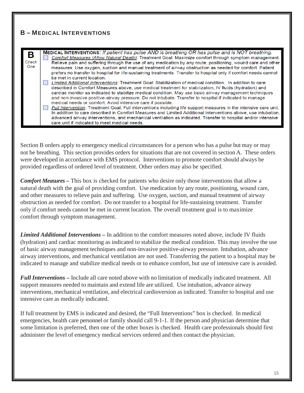#### **B – MEDICAL INTERVENTIONS**

| B<br>Check<br>One | <b>MEDICAL INTERVENTIONS:</b> If patient has pulse AND is breathing OR has pulse and is NOT breathing.<br>Comfort Measures (Allow Natural Death): Treatment Goal: Maximize comfort through symptom management.<br>Relieve pain and suffering through the use of any medication by any route, positioning, wound care and other<br>measures. Use oxygen, suction and manual treatment of airway obstruction as needed for comfort. Patient<br>prefers no transfer to hospital for life-sustaining treatments. Transfer to hospital only if comfort needs cannot<br>be met in current location.<br>Limited Additional Interventions: Treatment Goal: Stabilization of medical condition. In addition to care<br>described in Comfort Measures above, use medical treatment for stabilization, IV fluids (hydration) and<br>cardiac monitor as indicated to stabilize medical condition. May use basic airway management techniques<br>and non-invasive positive-airway pressure. Do not intubate. Transfer to hospital if indicated to manage |
|-------------------|---------------------------------------------------------------------------------------------------------------------------------------------------------------------------------------------------------------------------------------------------------------------------------------------------------------------------------------------------------------------------------------------------------------------------------------------------------------------------------------------------------------------------------------------------------------------------------------------------------------------------------------------------------------------------------------------------------------------------------------------------------------------------------------------------------------------------------------------------------------------------------------------------------------------------------------------------------------------------------------------------------------------------------------------|
|                   | medical needs or comfort. Avoid intensive care if possible.<br>Full Intervention: Treatment Goal: Full interventions including life support measures in the intensive care unit.<br>In addition to care described in Comfort Measures and Limited Additional Interventions above, use intubation,<br>advanced airway interventions, and mechanical ventilation as indicated. Transfer to hospital and/or intensive<br>care unit if indicated to meet medical needs.                                                                                                                                                                                                                                                                                                                                                                                                                                                                                                                                                                         |

Section B orders apply to emergency medical circumstances for a person who has a pulse but may or may not be breathing. This section provides orders for situations that are not covered in section A. These orders were developed in accordance with EMS protocol. Interventions to promote comfort should always be provided regardless of ordered level of treatment. Other orders may also be specified.

*Comfort Measures –* This box is checked for patients who desire only those interventions that allow a natural death with the goal of providing comfort. Use medication by any route, positioning, wound care, and other measures to relieve pain and suffering. Use oxygen, suction, and manual treatment of airway obstruction as needed for comfort. Do not transfer to a hospital for life-sustaining treatment. Transfer only if comfort needs cannot be met in current location. The overall treatment goal is to maximize comfort through symptom management.

*Limited Additional Interventions –* In addition to the comfort measures noted above, include IV fluids (hydration) and cardiac monitoring as indicated to stabilize the medical condition. This may involve the use of basic airway management techniques and non-invasive positive-airway pressure. Intubation, advance airway interventions, and mechanical ventilation are not used. Transferring the patient to a hospital may be indicated to manage and stabilize medical needs or to enhance comfort, but use of intensive care is avoided.

*Full Interventions –* Include all care noted above with no limitation of medically indicated treatment. All support measures needed to maintain and extend life are utilized. Use intubation, advance airway interventions, mechanical ventilation, and electrical cardioversion as indicated. Transfer to hospital and use intensive care as medically indicated.

If full treatment by EMS is indicated and desired, the "Full Interventions" box is checked. In medical emergencies, health care personnel or family should call 9-1-1. If the person and physician determine that some limitation is preferred, then one of the other boxes is checked. Health care professionals should first administer the level of emergency medical services ordered and then contact the physician.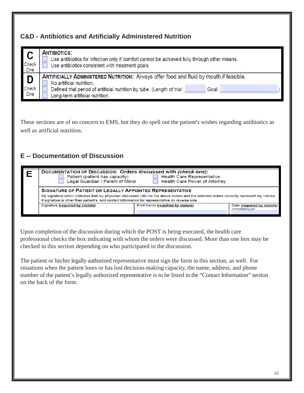#### **C&D - Antibiotics and Artificially Administered Nutrition**

| $\overline{\phantom{a}}$ | <b>ANTIBIOTICS:</b>                                                                                                                                                                                                                              |  |  |
|--------------------------|--------------------------------------------------------------------------------------------------------------------------------------------------------------------------------------------------------------------------------------------------|--|--|
| Check                    | Use antibiotics for infection only if comfort cannot be achieved fully through other means.                                                                                                                                                      |  |  |
| One                      | Use antibiotics consistent with treatment goals.                                                                                                                                                                                                 |  |  |
| I D<br>Check<br>One      | <b>ARTIFICIALLY ADMINISTERED NUTRITION:</b> Always offer food and fluid by mouth if feasible.<br>No artificial nutrition.<br>Defined trial period of artificial nutrition by tube. (Length of trial:<br>Goal:<br>Long-term artificial nutrition. |  |  |

These sections are of no concern to EMS, but they do spell out the patient's wishes regarding antibiotics as well as artificial nutrition.

#### **E -- Documentation of Discussion**

| DOCUMENTATION OF DISCUSSION: Orders discussed with (check one):<br><b>Health Care Representative</b><br>Patient (patient has capacity)<br>Legal Guardian / Parent of Minor<br><b>Health Care Power of Attorney</b>                                                                                               |                                  |                                            |  |
|------------------------------------------------------------------------------------------------------------------------------------------------------------------------------------------------------------------------------------------------------------------------------------------------------------------|----------------------------------|--------------------------------------------|--|
| <b>SIGNATURE OF PATIENT OR LEGALLY APPOINTED REPRESENTATIVE</b><br>My signature below indicates that my physician discussed with me the above orders and the selected orders correctly represent my wishes.<br>If signature is other than patient's, add contact information for representative on reverse side. |                                  |                                            |  |
| Signature (required by statute)                                                                                                                                                                                                                                                                                  | Print Name (required by statute) | Date (required by statute)<br>(mm/dd/vvvv) |  |

Upon completion of the discussion during which the POST is being executed, the health care professional checks the box indicating with whom the orders were discussed. More than one box may be checked in this section depending on who participated in the discussion.

The patient or his/her legally authorized representative must sign the form in this section, as well. For situations when the patient loses or has lost decision-making capacity, the name, address, and phone number of the patient's legally authorized representative is to be listed in the "Contact Information" section on the back of the form.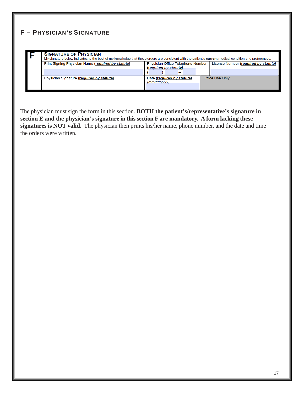#### **F – PHYSICIAN'S SIGNATURE**

|  | <b>SIGNATURE OF PHYSICIAN</b><br>My signature below indicates to the best of my knowledge that these orders are consistent with the patient's current medical condition and preferences. |                                                            |                                      |  |
|--|------------------------------------------------------------------------------------------------------------------------------------------------------------------------------------------|------------------------------------------------------------|--------------------------------------|--|
|  | Print Signing Physician Name (required by statute)                                                                                                                                       | Physician Office Telephone Number<br>(required by statute) | License Number (required by statute) |  |
|  | Physician Signature (required by statute)                                                                                                                                                | Date (required by statute)<br>(mm/dd/vvvv)                 | <b>Office Use Only</b>               |  |

The physician must sign the form in this section. **BOTH the patient's/representative's signature in section E and the physician's signature in this section F are mandatory. A form lacking these signatures is NOT valid.** The physician then prints his/her name, phone number, and the date and time the orders were written.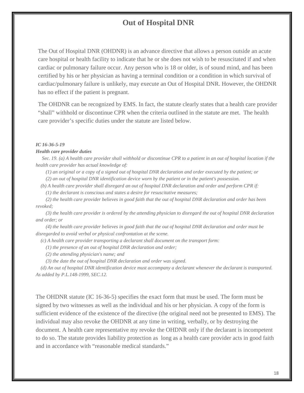#### **Out of Hospital DNR**

The Out of Hospital DNR (OHDNR) is an advance directive that allows a person outside an acute care hospital or health facility to indicate that he or she does not wish to be resuscitated if and when cardiac or pulmonary failure occur. Any person who is 18 or older, is of sound mind, and has been certified by his or her physician as having a terminal condition or a condition in which survival of cardiac/pulmonary failure is unlikely, may execute an Out of Hospital DNR. However, the OHDNR has no effect if the patient is pregnant.

The OHDNR can be recognized by EMS. In fact, the statute clearly states that a health care provider "shall" withhold or discontinue CPR when the criteria outlined in the statute are met. The health care provider's specific duties under the statute are listed below.

#### *IC 16-36-5-19*

#### *Health care provider duties*

*Sec. 19. (a) A health care provider shall withhold or discontinue CPR to a patient in an out of hospital location if the health care provider has actual knowledge of:*

*(1) an original or a copy of a signed out of hospital DNR declaration and order executed by the patient; or*

*(2) an out of hospital DNR identification device worn by the patient or in the patient's possession.*

*(b) A health care provider shall disregard an out of hospital DNR declaration and order and perform CPR if: (1) the declarant is conscious and states a desire for resuscitative measures;*

*(2) the health care provider believes in good faith that the out of hospital DNR declaration and order has been revoked;*

*(3) the health care provider is ordered by the attending physician to disregard the out of hospital DNR declaration and order; or*

*(4) the health care provider believes in good faith that the out of hospital DNR declaration and order must be disregarded to avoid verbal or physical confrontation at the scene.*

*(c) A health care provider transporting a declarant shall document on the transport form:*

*(1) the presence of an out of hospital DNR declaration and order;*

*(2) the attending physician's name; and*

*(3) the date the out of hospital DNR declaration and order was signed.*

*(d) An out of hospital DNR identification device must accompany a declarant whenever the declarant is transported. As added by P.L.148-1999, SEC.12.*

The OHDNR statute (IC 16-36-5) specifies the exact form that must be used. The form must be signed by two witnesses as well as the individual and his or her physician. A copy of the form is sufficient evidence of the existence of the directive (the original need not be presented to EMS). The individual may also revoke the OHDNR at any time in writing, verbally, or by destroying the document. A health care representative my revoke the OHDNR only if the declarant is incompetent to do so. The statute provides liability protection as long as a health care provider acts in good faith and in accordance with "reasonable medical standards."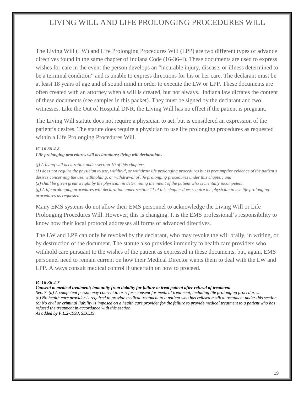#### LIVING WILL AND LIFE PROLONGING PROCEDURES WILL

The Living Will (LW) and Life Prolonging Procedures Will (LPP) are two different types of advance directives found in the same chapter of Indiana Code (16-36-4). These documents are used to express wishes for care in the event the person develops an "incurable injury, disease, or illness determined to be a terminal condition" and is unable to express directions for his or her care. The declarant must be at least 18 years of age and of sound mind in order to execute the LW or LPP. These documents are often created with an attorney when a will is created, but not always. Indiana law dictates the content of these documents (see samples in this packet). They must be signed by the declarant and two witnesses. Like the Out of Hospital DNR, the Living Will has no effect if the patient is pregnant.

The Living Will statute does not require a physician to act, but is considered an expression of the patient's desires. The statute does require a physician to use life prolonging procedures as requested within a Life Prolonging Procedures Will.

#### *IC 16-36-4-8*

*Life prolonging procedures will declarations; living will declarations*

*(f) A living will declaration under section 10 of this chapter:*

*(1) does not require the physician to use, withhold, or withdraw life prolonging procedures but is presumptive evidence of the patient's desires concerning the use, withholding, or withdrawal of life prolonging procedures under this chapter; and*

*(2) shall be given great weight by the physician in determining the intent of the patient who is mentally incompetent.*

*(g) A life prolonging procedures will declaration under section 11 of this chapter does require the physician to use life prolonging procedures as requested.*

Many EMS systems do not allow their EMS personnel to acknowledge the Living Will or Life Prolonging Procedures Will. However, this is changing. It is the EMS professional's responsibility to know how their local protocol addresses all forms of advanced directives.

The LW and LPP can only be revoked by the declarant, who may revoke the will orally, in writing, or by destruction of the document. The statute also provides immunity to health care providers who withhold care pursuant to the wishes of the patient as expressed in these documents, but, again, EMS personnel need to remain current on how their Medical Director wants them to deal with the LW and LPP. Always consult medical control if uncertain on how to proceed.

#### *IC 16-36-4-7*

*Consent to medical treatment; immunity from liability for failure to treat patient after refusal of treatment*

*Sec. 7. (a) A competent person may consent to or refuse consent for medical treatment, including life prolonging procedures. (b) No health care provider is required to provide medical treatment to a patient who has refused medical treatment under this section. (c) No civil or criminal liability is imposed on a health care provider for the failure to provide medical treatment to a patient who has refused the treatment in accordance with this section.*

*As added by P.L.2-1993, SEC.19.*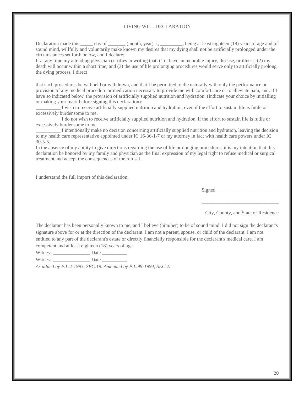#### LIVING WILL DECLARATION

Declaration made this \_\_\_\_\_ day of \_\_\_\_\_\_ (month, year). I, \_\_\_\_\_\_\_, being at least eighteen (18) years of age and of sound mind, willfully and voluntarily make known my desires that my dying shall not be artificially prolonged under the circumstances set forth below, and I declare:

If at any time my attending physician certifies in writing that: (1) I have an incurable injury, disease, or illness; (2) my death will occur within a short time; and (3) the use of life prolonging procedures would serve only to artificially prolong the dying process, I direct

that such procedures be withheld or withdrawn, and that I be permitted to die naturally with only the performance or provision of any medical procedure or medication necessary to provide me with comfort care or to alleviate pain, and, if I have so indicated below, the provision of artificially supplied nutrition and hydration. (Indicate your choice by initialling or making your mark before signing this declaration):

I wish to receive artificially supplied nutrition and hydration, even if the effort to sustain life is futile or excessively burdensome to me.

I do not wish to receive artificially supplied nutrition and hydration, if the effort to sustain life is futile or excessively burdensome to me.

\_\_\_\_\_\_\_\_\_\_ I intentionally make no decision concerning artificially supplied nutrition and hydration, leaving the decision to my health care representative appointed under IC 16-36-1-7 or my attorney in fact with health care powers under IC  $30 - 5 - 5$ .

In the absence of my ability to give directions regarding the use of life prolonging procedures, it is my intention that this declaration be honored by my family and physician as the final expression of my legal right to refuse medical or surgical treatment and accept the consequences of the refusal.

I understand the full import of this declaration.

Signed \_\_\_\_\_\_\_\_\_\_\_\_\_\_\_\_\_\_\_\_\_\_\_\_\_

\_\_\_\_\_\_\_\_\_\_\_\_\_\_\_\_\_\_\_\_\_\_\_\_\_\_\_\_\_\_\_

City, County, and State of Residence

The declarant has been personally known to me, and I believe (him/her) to be of sound mind. I did not sign the declarant's signature above for or at the direction of the declarant. I am not a parent, spouse, or child of the declarant. I am not entitled to any part of the declarant's estate or directly financially responsible for the declarant's medical care. I am competent and at least eighteen (18) years of age.

Witness \_\_\_\_\_\_\_\_\_\_\_\_\_\_\_ Date \_\_\_\_\_\_\_\_\_\_

Witness \_\_\_\_\_\_\_\_\_\_\_\_\_\_\_\_\_\_\_\_\_ Date \_\_\_\_\_\_\_\_\_\_\_\_\_

*As added by P.L.2-1993, SEC.19. Amended by P.L.99-1994, SEC.2.*